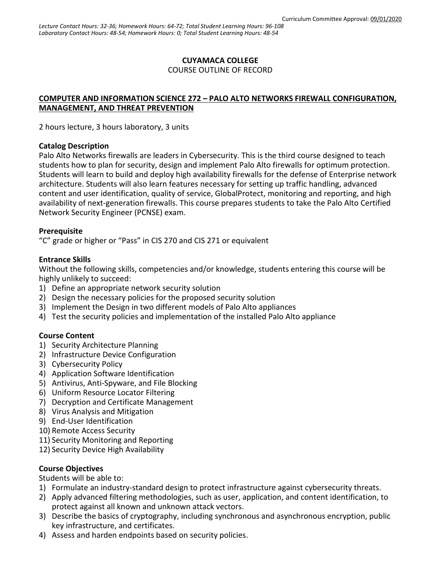### **CUYAMACA COLLEGE**

COURSE OUTLINE OF RECORD

#### **COMPUTER AND INFORMATION SCIENCE 272 – PALO ALTO NETWORKS FIREWALL CONFIGURATION, MANAGEMENT, AND THREAT PREVENTION**

2 hours lecture, 3 hours laboratory, 3 units

#### **Catalog Description**

Palo Alto Networks firewalls are leaders in Cybersecurity. This is the third course designed to teach students how to plan for security, design and implement Palo Alto firewalls for optimum protection. Students will learn to build and deploy high availability firewalls for the defense of Enterprise network architecture. Students will also learn features necessary for setting up traffic handling, advanced content and user identification, quality of service, GlobalProtect, monitoring and reporting, and high availability of next-generation firewalls. This course prepares students to take the Palo Alto Certified Network Security Engineer (PCNSE) exam.

#### **Prerequisite**

"C" grade or higher or "Pass" in CIS 270 and CIS 271 or equivalent

### **Entrance Skills**

Without the following skills, competencies and/or knowledge, students entering this course will be highly unlikely to succeed:

- 1) Define an appropriate network security solution
- 2) Design the necessary policies for the proposed security solution
- 3) Implement the Design in two different models of Palo Alto appliances
- 4) Test the security policies and implementation of the installed Palo Alto appliance

### **Course Content**

- 1) Security Architecture Planning
- 2) Infrastructure Device Configuration
- 3) Cybersecurity Policy
- 4) Application Software Identification
- 5) Antivirus, Anti-Spyware, and File Blocking
- 6) Uniform Resource Locator Filtering
- 7) Decryption and Certificate Management
- 8) Virus Analysis and Mitigation
- 9) End-User Identification
- 10) Remote Access Security
- 11) Security Monitoring and Reporting
- 12) Security Device High Availability

### **Course Objectives**

Students will be able to:

- 1) Formulate an industry-standard design to protect infrastructure against cybersecurity threats.
- 2) Apply advanced filtering methodologies, such as user, application, and content identification, to protect against all known and unknown attack vectors.
- 3) Describe the basics of cryptography, including synchronous and asynchronous encryption, public key infrastructure, and certificates.
- 4) Assess and harden endpoints based on security policies.